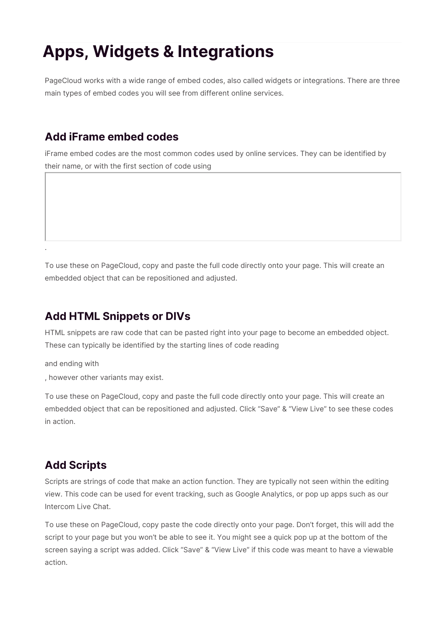## **Apps, Widgets & Integrations**

PageCloud works with a wide range of embed codes, also called widgets or integrations. There are three main types of embed codes you will see from different online services.

## **Add iFrame embed codes**

iFrame embed codes are the most common codes used by online services. They can be identified by their name, or with the first section of code using

To use these on PageCloud, copy and paste the full code directly onto your page. This will create an embedded object that can be repositioned and adjusted.

## **Add HTML Snippets or DIVs**

HTML snippets are raw code that can be pasted right into your page to become an embedded object. These can typically be identified by the starting lines of code reading

and ending with

.

, however other variants may exist.

To use these on PageCloud, copy and paste the full code directly onto your page. This will create an embedded object that can be repositioned and adjusted. Click "Save" & "View Live" to see these codes in action.

## **Add Scripts**

Scripts are strings of code that make an action function. They are typically not seen within the editing view. This code can be used for event tracking, such as Google Analytics, or pop up apps such as our Intercom Live Chat.

To use these on PageCloud, copy paste the code directly onto your page. Don't forget, this will add the script to your page but you won't be able to see it. You might see a quick pop up at the bottom of the screen saying a script was added. Click "Save" & "View Live" if this code was meant to have a viewable action.